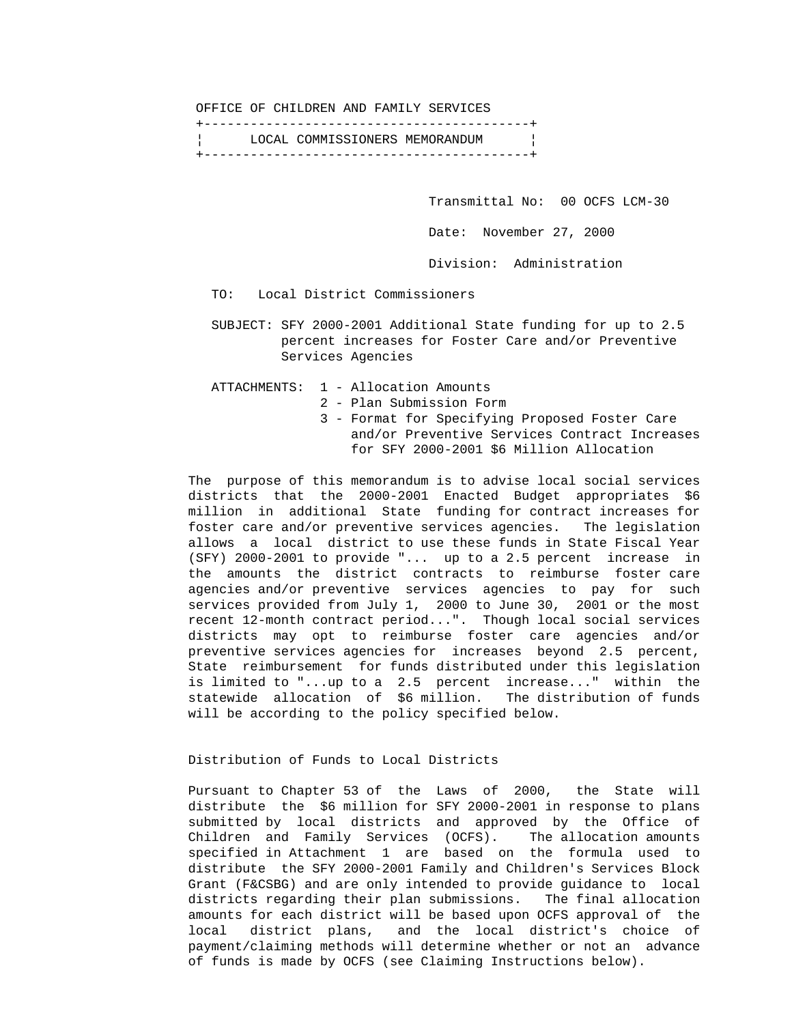OFFICE OF CHILDREN AND FAMILY SERVICES

 +------------------------------------------+ ¦ LOCAL COMMISSIONERS MEMORANDUM ¦ +------------------------------------------+

> Transmittal No: 00 OCFS LCM-30 Date: November 27, 2000

Division: Administration

TO: Local District Commissioners

 SUBJECT: SFY 2000-2001 Additional State funding for up to 2.5 percent increases for Foster Care and/or Preventive Services Agencies

ATTACHMENTS: 1 - Allocation Amounts

2 - Plan Submission Form

 3 - Format for Specifying Proposed Foster Care and/or Preventive Services Contract Increases for SFY 2000-2001 \$6 Million Allocation

 The purpose of this memorandum is to advise local social services districts that the 2000-2001 Enacted Budget appropriates \$6 million in additional State funding for contract increases for foster care and/or preventive services agencies. The legislation allows a local district to use these funds in State Fiscal Year (SFY) 2000-2001 to provide "... up to a 2.5 percent increase in the amounts the district contracts to reimburse foster care agencies and/or preventive services agencies to pay for such services provided from July 1, 2000 to June 30, 2001 or the most recent 12-month contract period...". Though local social services districts may opt to reimburse foster care agencies and/or preventive services agencies for increases beyond 2.5 percent, State reimbursement for funds distributed under this legislation is limited to "...up to a 2.5 percent increase..." within the statewide allocation of \$6 million. The distribution of funds will be according to the policy specified below.

### Distribution of Funds to Local Districts

 Pursuant to Chapter 53 of the Laws of 2000, the State will distribute the \$6 million for SFY 2000-2001 in response to plans submitted by local districts and approved by the Office of Children and Family Services (OCFS). The allocation amounts specified in Attachment 1 are based on the formula used to distribute the SFY 2000-2001 Family and Children's Services Block Grant (F&CSBG) and are only intended to provide guidance to local districts regarding their plan submissions. The final allocation amounts for each district will be based upon OCFS approval of the local district plans, and the local district's choice of payment/claiming methods will determine whether or not an advance of funds is made by OCFS (see Claiming Instructions below).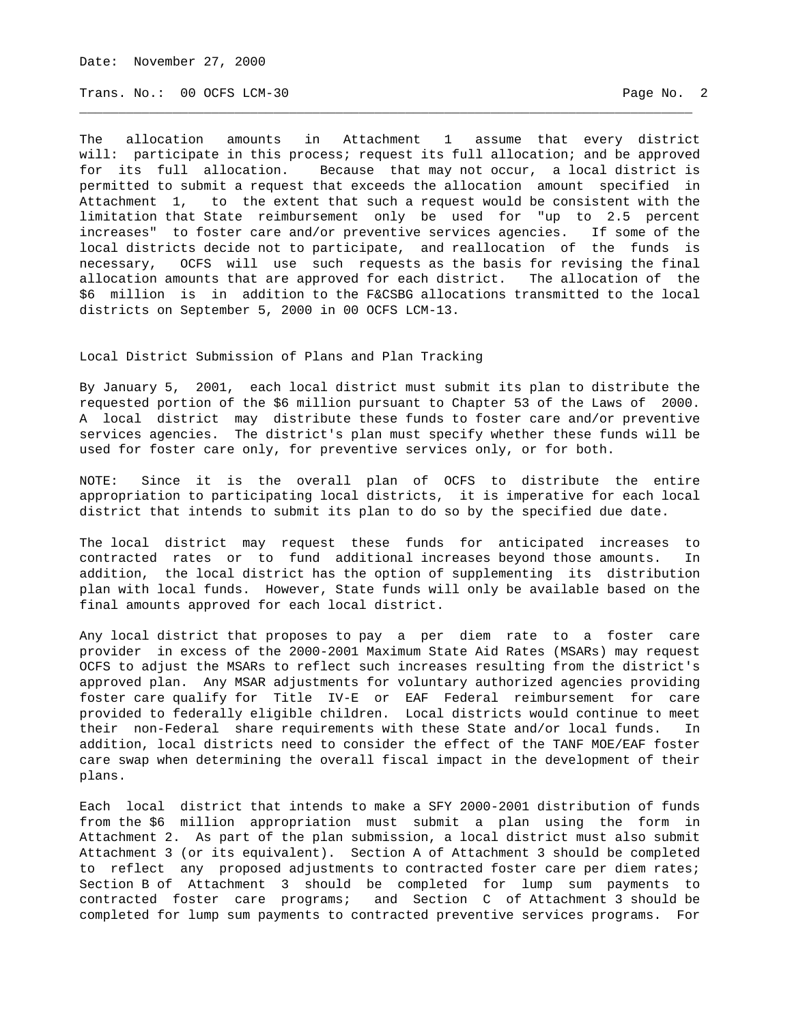Date: November 27, 2000

Trans. No.: 00 OCFS LCM-30 **Page No. 2** Page No. 2

The allocation amounts in Attachment 1 assume that every district will: participate in this process; request its full allocation; and be approved for its full allocation. Because that may not occur, a local district is permitted to submit a request that exceeds the allocation amount specified in Attachment 1, to the extent that such a request would be consistent with the limitation that State reimbursement only be used for "up to 2.5 percent increases" to foster care and/or preventive services agencies. If some of the local districts decide not to participate, and reallocation of the funds is necessary, OCFS will use such requests as the basis for revising the final allocation amounts that are approved for each district. The allocation of the \$6 million is in addition to the F&CSBG allocations transmitted to the local districts on September 5, 2000 in 00 OCFS LCM-13.

\_\_\_\_\_\_\_\_\_\_\_\_\_\_\_\_\_\_\_\_\_\_\_\_\_\_\_\_\_\_\_\_\_\_\_\_\_\_\_\_\_\_\_\_\_\_\_\_\_\_\_\_\_\_\_\_\_\_\_\_\_\_\_\_\_\_\_\_\_\_\_\_\_\_\_\_\_\_\_

### Local District Submission of Plans and Plan Tracking

By January 5, 2001, each local district must submit its plan to distribute the requested portion of the \$6 million pursuant to Chapter 53 of the Laws of 2000. A local district may distribute these funds to foster care and/or preventive services agencies. The district's plan must specify whether these funds will be used for foster care only, for preventive services only, or for both.

NOTE: Since it is the overall plan of OCFS to distribute the entire appropriation to participating local districts, it is imperative for each local district that intends to submit its plan to do so by the specified due date.

The local district may request these funds for anticipated increases to contracted rates or to fund additional increases beyond those amounts. In addition, the local district has the option of supplementing its distribution plan with local funds. However, State funds will only be available based on the final amounts approved for each local district.

Any local district that proposes to pay a per diem rate to a foster care provider in excess of the 2000-2001 Maximum State Aid Rates (MSARs) may request OCFS to adjust the MSARs to reflect such increases resulting from the district's approved plan. Any MSAR adjustments for voluntary authorized agencies providing foster care qualify for Title IV-E or EAF Federal reimbursement for care provided to federally eligible children. Local districts would continue to meet their non-Federal share requirements with these State and/or local funds. In addition, local districts need to consider the effect of the TANF MOE/EAF foster care swap when determining the overall fiscal impact in the development of their plans.

Each local district that intends to make a SFY 2000-2001 distribution of funds from the \$6 million appropriation must submit a plan using the form in Attachment 2. As part of the plan submission, a local district must also submit Attachment 3 (or its equivalent). Section A of Attachment 3 should be completed to reflect any proposed adjustments to contracted foster care per diem rates; Section B of Attachment 3 should be completed for lump sum payments to contracted foster care programs; and Section C of Attachment 3 should be completed for lump sum payments to contracted preventive services programs. For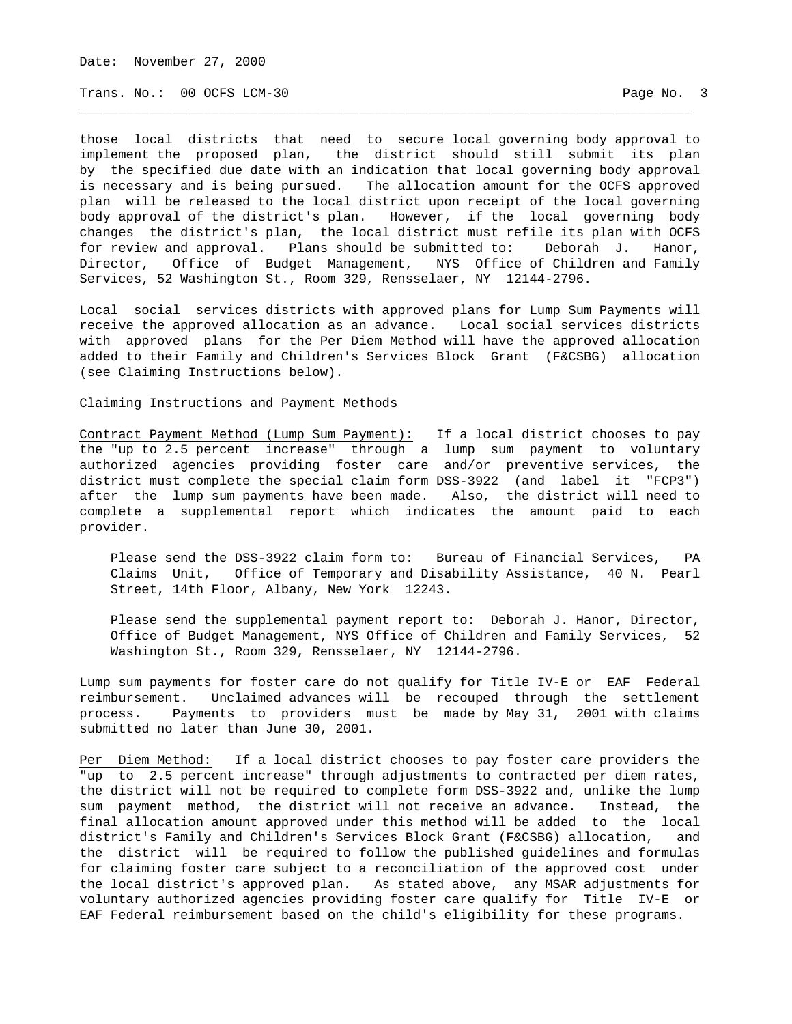Date: November 27, 2000

Trans. No.: 00 OCFS LCM-30 **Page No. 3** 

those local districts that need to secure local governing body approval to implement the proposed plan, the district should still submit its plan by the specified due date with an indication that local governing body approval is necessary and is being pursued. The allocation amount for the OCFS approved plan will be released to the local district upon receipt of the local governing body approval of the district's plan. However, if the local governing body changes the district's plan, the local district must refile its plan with OCFS for review and approval. Plans should be submitted to: Deborah J. Hanor, Director, Office of Budget Management, NYS Office of Children and Family Services, 52 Washington St., Room 329, Rensselaer, NY 12144-2796.

\_\_\_\_\_\_\_\_\_\_\_\_\_\_\_\_\_\_\_\_\_\_\_\_\_\_\_\_\_\_\_\_\_\_\_\_\_\_\_\_\_\_\_\_\_\_\_\_\_\_\_\_\_\_\_\_\_\_\_\_\_\_\_\_\_\_\_\_\_\_\_\_\_\_\_\_\_\_\_

Local social services districts with approved plans for Lump Sum Payments will receive the approved allocation as an advance. Local social services districts with approved plans for the Per Diem Method will have the approved allocation added to their Family and Children's Services Block Grant (F&CSBG) allocation (see Claiming Instructions below).

Claiming Instructions and Payment Methods

Contract Payment Method (Lump Sum Payment): If a local district chooses to pay the "up to 2.5 percent increase" through a lump sum payment to voluntary authorized agencies providing foster care and/or preventive services, the district must complete the special claim form DSS-3922 (and label it "FCP3") after the lump sum payments have been made. Also, the district will need to complete a supplemental report which indicates the amount paid to each provider.

 Please send the DSS-3922 claim form to: Bureau of Financial Services, PA Claims Unit, Office of Temporary and Disability Assistance, 40 N. Pearl Street, 14th Floor, Albany, New York 12243.

 Please send the supplemental payment report to: Deborah J. Hanor, Director, Office of Budget Management, NYS Office of Children and Family Services, 52 Washington St., Room 329, Rensselaer, NY 12144-2796.

Lump sum payments for foster care do not qualify for Title IV-E or EAF Federal reimbursement. Unclaimed advances will be recouped through the settlement process. Payments to providers must be made by May 31, 2001 with claims submitted no later than June 30, 2001.

Per Diem Method: If a local district chooses to pay foster care providers the "up to 2.5 percent increase" through adjustments to contracted per diem rates, the district will not be required to complete form DSS-3922 and, unlike the lump sum payment method, the district will not receive an advance. Instead, the final allocation amount approved under this method will be added to the local district's Family and Children's Services Block Grant (F&CSBG) allocation, and the district will be required to follow the published guidelines and formulas for claiming foster care subject to a reconciliation of the approved cost under the local district's approved plan. As stated above, any MSAR adjustments for voluntary authorized agencies providing foster care qualify for Title IV-E or EAF Federal reimbursement based on the child's eligibility for these programs.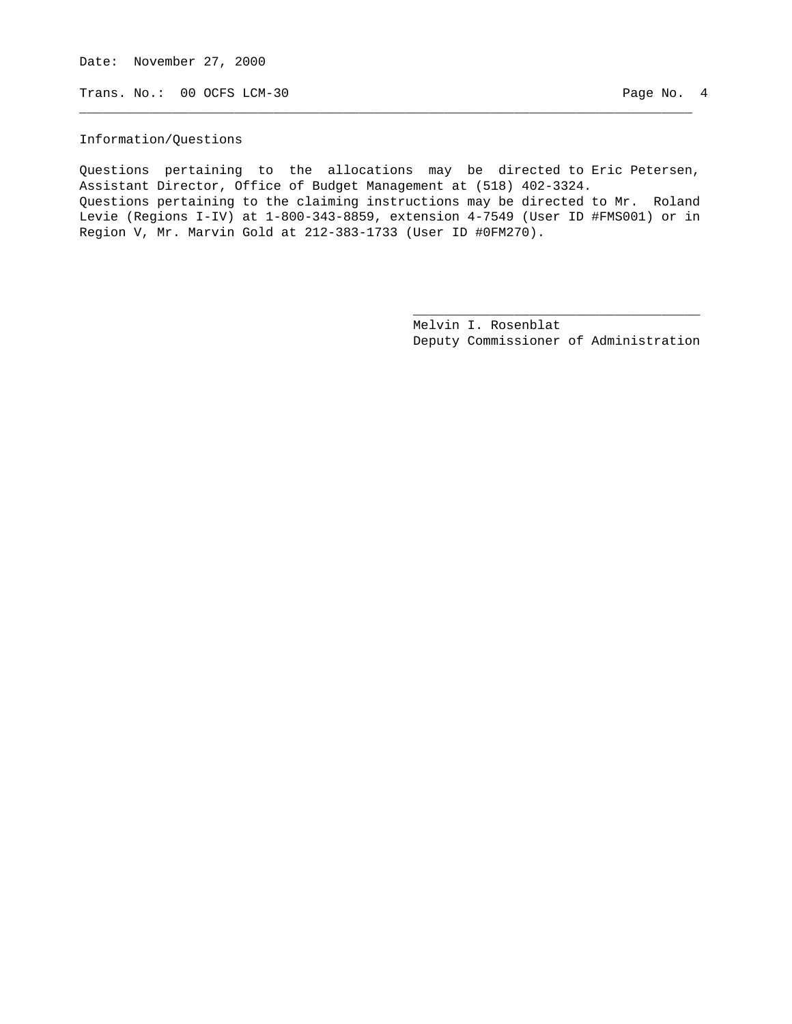Date: November 27, 2000

Trans. No.: 00 OCFS LCM-30 Page No. 4

#### Information/Questions

Questions pertaining to the allocations may be directed to Eric Petersen, Assistant Director, Office of Budget Management at (518) 402-3324. Questions pertaining to the claiming instructions may be directed to Mr. Roland Levie (Regions I-IV) at 1-800-343-8859, extension 4-7549 (User ID #FMS001) or in Region V, Mr. Marvin Gold at 212-383-1733 (User ID #0FM270).

 $\overline{\phantom{a}}$  , and the contract of the contract of the contract of the contract of the contract of the contract of the contract of the contract of the contract of the contract of the contract of the contract of the contrac

\_\_\_\_\_\_\_\_\_\_\_\_\_\_\_\_\_\_\_\_\_\_\_\_\_\_\_\_\_\_\_\_\_\_\_\_\_\_\_\_\_\_\_\_\_\_\_\_\_\_\_\_\_\_\_\_\_\_\_\_\_\_\_\_\_\_\_\_\_\_\_\_\_\_\_\_\_\_\_

 Melvin I. Rosenblat Deputy Commissioner of Administration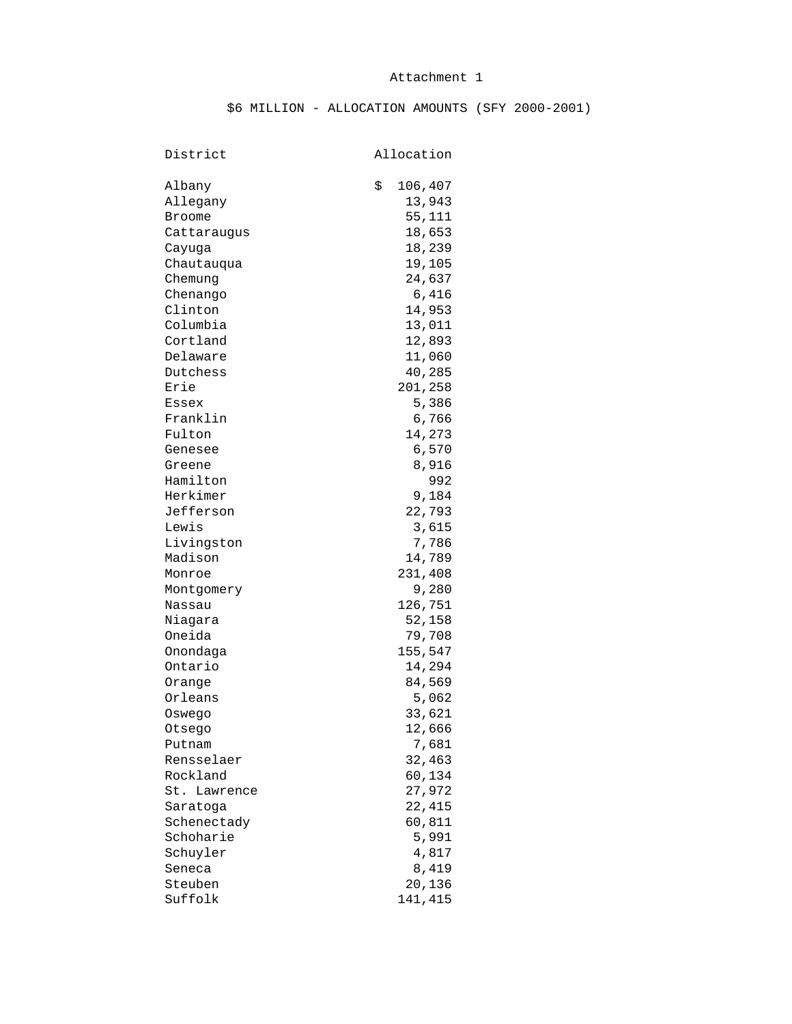## Attachment 1

# \$6 MILLION - ALLOCATION AMOUNTS (SFY 2000-2001)

# District Allocation

| Albany        | \$<br>106,407 |
|---------------|---------------|
| Allegany      | 13,943        |
| <b>Broome</b> | 55,111        |
| Cattaraugus   | 18,653        |
| Cayuqa        | 18,239        |
| Chautauqua    | 19,105        |
| Chemung       | 24,637        |
| Chenango      | 6,416         |
| Clinton       | 14,953        |
| Columbia      | 13,011        |
| Cortland      | 12,893        |
| Delaware      | 11,060        |
| Dutchess      | 40,285        |
| Erie          | 201,258       |
| Essex         | 5,386         |
| Franklin      | 6,766         |
| Fulton        | 14,273        |
| Genesee       | 6,570         |
| Greene        | 8,916         |
| Hamilton      | 992           |
| Herkimer      | 9,184         |
| Jefferson     | 22,793        |
| Lewis         | 3,615         |
| Livingston    | 7,786         |
| Madison       | 14,789        |
| Monroe        | 231,408       |
| Montgomery    | 9,280         |
| Nassau        | 126,751       |
| Niagara       | 52,158        |
| Oneida        | 79,708        |
| Onondaga      | 155,547       |
| Ontario       | 14,294        |
| Orange        | 84,569        |
| Orleans       | 5,062         |
| Oswego        | 33,621        |
| Otsego        | 12,666        |
| Putnam        | 7,681         |
| Rensselaer    | 32,463        |
| Rockland      |               |
|               | 60,134        |
| St. Lawrence  | 27,972        |
| Saratoga      | 22,415        |
| Schenectady   | 60,811        |
| Schoharie     | 5,991         |
| Schuyler      | 4,817         |
| Seneca        | 8,419         |
| Steuben       | 20,136        |
| Suffolk       | 141,415       |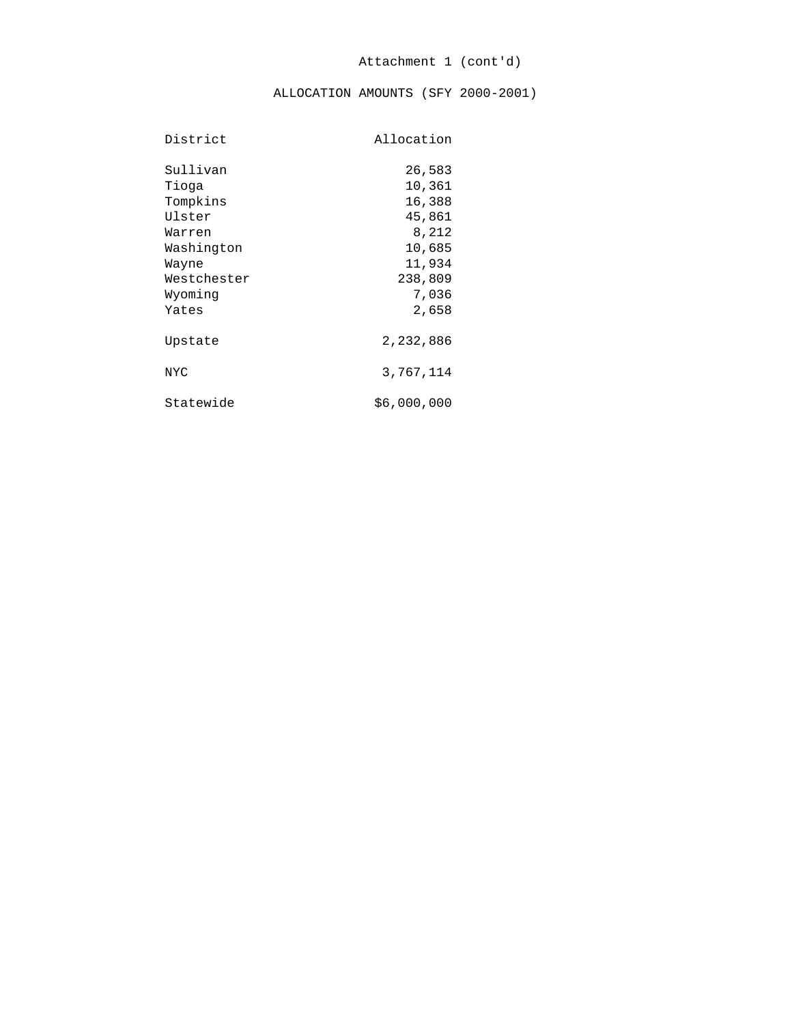ALLOCATION AMOUNTS (SFY 2000-2001)

| District    | Allocation  |
|-------------|-------------|
| Sullivan    | 26,583      |
| Tioga       | 10,361      |
| Tompkins    | 16,388      |
| Ulster      | 45,861      |
| Warren      | 8,212       |
| Washington  | 10,685      |
| Wayne       | 11,934      |
| Westchester | 238,809     |
| Wyoming     | 7,036       |
| Yates       | 2,658       |
| Upstate     | 2,232,886   |
| <b>NYC</b>  | 3,767,114   |
| Statewide   | \$6,000,000 |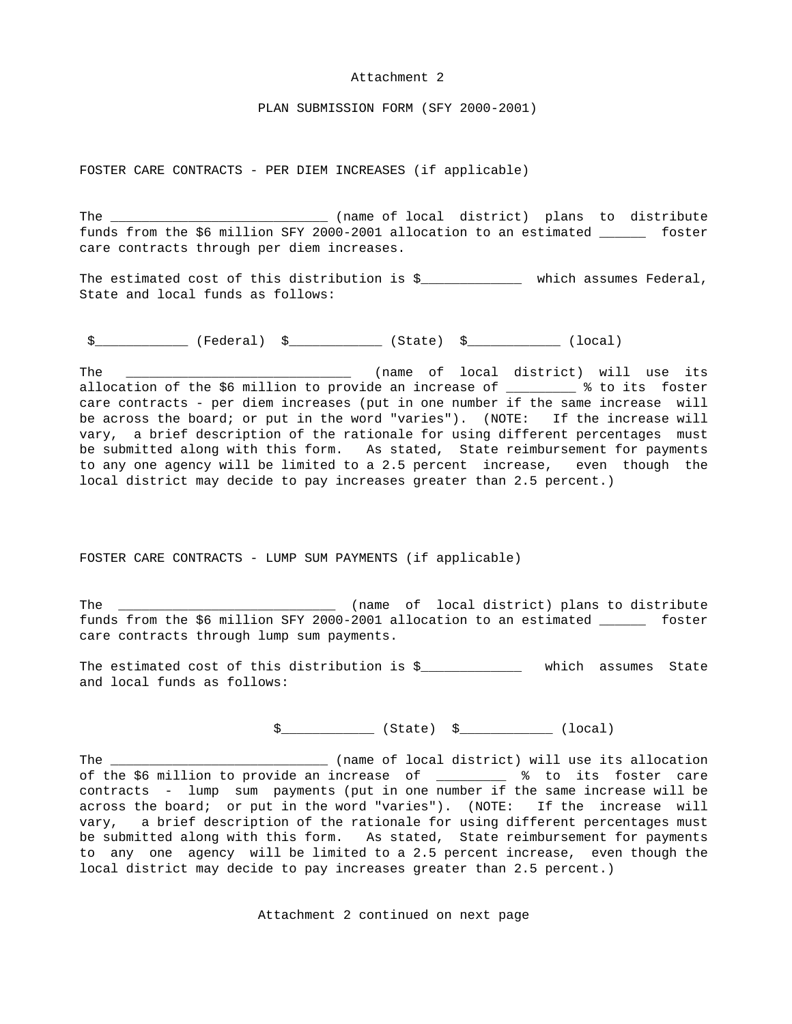#### Attachment 2

PLAN SUBMISSION FORM (SFY 2000-2001)

FOSTER CARE CONTRACTS - PER DIEM INCREASES (if applicable)

The \_\_\_\_\_\_\_\_\_\_\_\_\_\_\_\_\_\_\_\_\_\_\_\_\_\_\_\_\_\_\_\_\_ (name of local district) plans to distribute funds from the \$6 million SFY 2000-2001 allocation to an estimated \_\_\_\_\_\_ foster care contracts through per diem increases.

The estimated cost of this distribution is \$\_\_\_\_\_\_\_\_\_\_\_\_\_\_\_ which assumes Federal, State and local funds as follows:

 $$$   $(5)$   $(10)$   $(10)$ 

The \_\_\_\_\_\_\_\_\_\_\_\_\_\_\_\_\_\_\_\_\_\_\_\_\_\_\_\_\_\_\_\_\_\_ (name of local district) will use its allocation of the \$6 million to provide an increase of \_\_\_\_\_\_\_\_ % to its foster care contracts - per diem increases (put in one number if the same increase will be across the board; or put in the word "varies"). (NOTE: If the increase will vary, a brief description of the rationale for using different percentages must be submitted along with this form. As stated, State reimbursement for payments to any one agency will be limited to a 2.5 percent increase, even though the local district may decide to pay increases greater than 2.5 percent.)

FOSTER CARE CONTRACTS - LUMP SUM PAYMENTS (if applicable)

The \_\_\_\_\_\_\_\_\_\_\_\_\_\_\_\_\_\_\_\_\_\_\_\_\_\_\_\_\_\_\_\_ (name of local district) plans to distribute funds from the \$6 million SFY 2000-2001 allocation to an estimated \_\_\_\_\_\_ foster care contracts through lump sum payments.

The estimated cost of this distribution is \$\_\_\_\_\_\_\_\_\_\_\_\_\_ which assumes State and local funds as follows:

 $\frac{1}{2}$   $\frac{1}{2}$   $\frac{1}{2}$   $\frac{1}{2}$   $\frac{1}{2}$   $\frac{1}{2}$   $\frac{1}{2}$   $\frac{1}{2}$   $\frac{1}{2}$   $\frac{1}{2}$   $\frac{1}{2}$   $\frac{1}{2}$   $\frac{1}{2}$   $\frac{1}{2}$   $\frac{1}{2}$   $\frac{1}{2}$   $\frac{1}{2}$   $\frac{1}{2}$   $\frac{1}{2}$   $\frac{1}{2}$   $\frac{1}{2}$   $\frac{1}{2}$ 

The \_\_\_\_\_\_\_\_\_\_\_\_\_\_\_\_\_\_\_\_\_\_\_\_\_\_\_\_\_\_\_\_\_ (name of local district) will use its allocation of the \$6 million to provide an increase of \_\_\_\_\_\_\_\_\_ % to its foster care contracts - lump sum payments (put in one number if the same increase will be across the board; or put in the word "varies"). (NOTE: If the increase will vary, a brief description of the rationale for using different percentages must be submitted along with this form. As stated, State reimbursement for payments to any one agency will be limited to a 2.5 percent increase, even though the local district may decide to pay increases greater than 2.5 percent.)

Attachment 2 continued on next page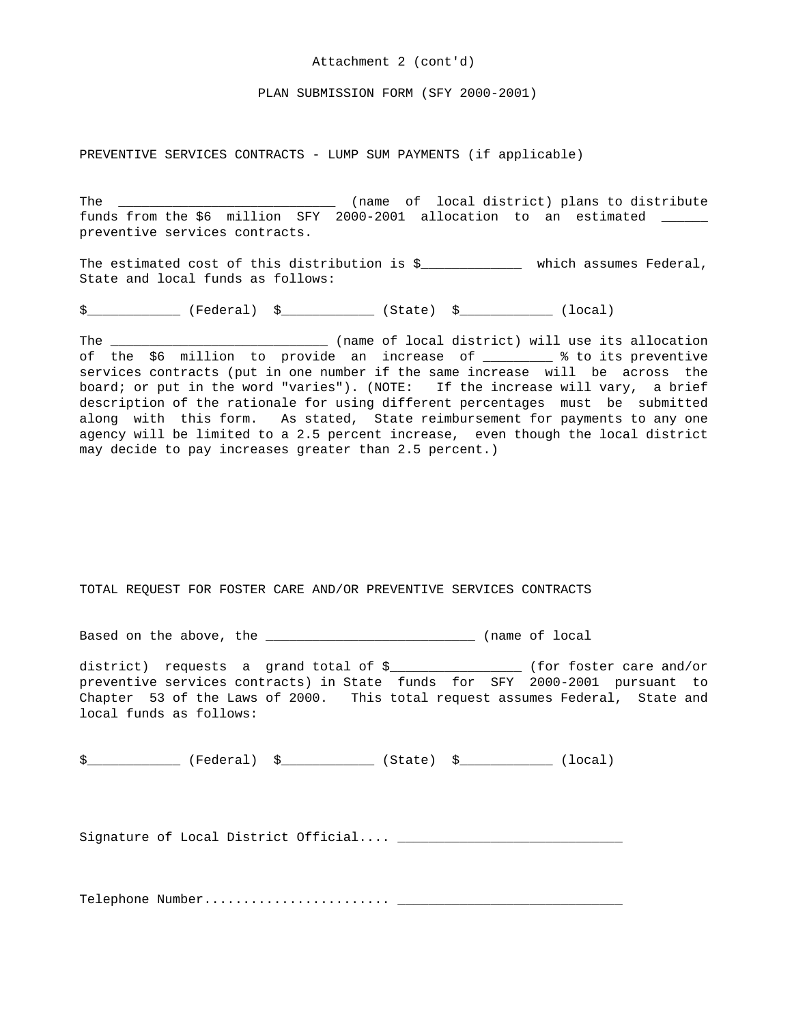#### Attachment 2 (cont'd)

PLAN SUBMISSION FORM (SFY 2000-2001)

PREVENTIVE SERVICES CONTRACTS - LUMP SUM PAYMENTS (if applicable)

The \_\_\_\_\_\_\_\_\_\_\_\_\_\_\_\_\_\_\_\_\_\_\_\_\_\_\_\_\_\_\_ (name of local district) plans to distribute funds from the \$6 million SFY 2000-2001 allocation to an estimated \_\_\_\_\_\_ preventive services contracts.

The estimated cost of this distribution is \$\_\_\_\_\_\_\_\_\_\_\_\_\_\_\_ which assumes Federal, State and local funds as follows:

\$ \_\_\_\_\_\_\_\_\_\_\_\_\_ (Federal) \$ \_\_\_\_\_\_\_\_\_\_\_ (State) \$ \_\_\_\_\_\_\_\_\_\_\_ (local)

The \_\_\_\_\_\_\_\_\_\_\_\_\_\_\_\_\_\_\_\_\_\_\_\_\_\_\_\_\_\_\_\_\_ (name of local district) will use its allocation of the \$6 million to provide an increase of \_\_\_\_\_\_\_ % to its preventive services contracts (put in one number if the same increase will be across the board; or put in the word "varies"). (NOTE: If the increase will vary, a brief description of the rationale for using different percentages must be submitted along with this form. As stated, State reimbursement for payments to any one agency will be limited to a 2.5 percent increase, even though the local district may decide to pay increases greater than 2.5 percent.)

TOTAL REQUEST FOR FOSTER CARE AND/OR PREVENTIVE SERVICES CONTRACTS

Based on the above, the \_\_\_\_\_\_\_\_\_\_\_\_\_\_\_\_\_\_\_\_\_\_\_\_\_\_\_\_\_\_\_\_\_ (name of local

district) requests a grand total of \$\_\_\_\_\_\_\_\_\_\_\_\_\_\_\_\_\_ (for foster care and/or preventive services contracts) in State funds for SFY 2000-2001 pursuant to Chapter 53 of the Laws of 2000. This total request assumes Federal, State and local funds as follows:

\$ \_\_\_\_\_\_\_\_\_\_\_\_\_ (Federal) \$ \_\_\_\_\_\_\_\_\_\_\_ (State) \$ \_\_\_\_\_\_\_\_\_\_\_ (local)

Signature of Local District Official.... \_\_\_\_\_\_\_\_\_\_\_\_\_\_\_\_\_\_\_\_\_\_\_\_\_\_\_\_\_

Telephone Number........................ \_\_\_\_\_\_\_\_\_\_\_\_\_\_\_\_\_\_\_\_\_\_\_\_\_\_\_\_\_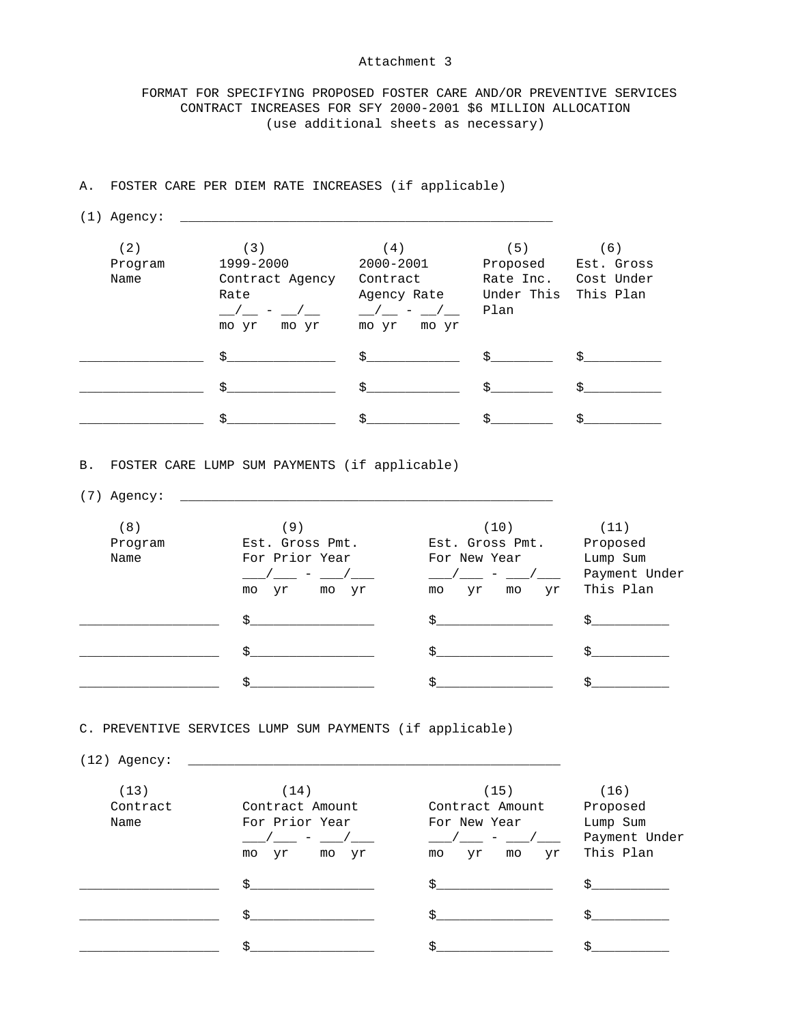#### Attachment 3

 FORMAT FOR SPECIFYING PROPOSED FOSTER CARE AND/OR PREVENTIVE SERVICES CONTRACT INCREASES FOR SFY 2000-2001 \$6 MILLION ALLOCATION (use additional sheets as necessary)

## A. FOSTER CARE PER DIEM RATE INCREASES (if applicable)

(1) Agency: \_\_\_\_\_\_\_\_\_\_\_\_\_\_\_\_\_\_\_\_\_\_\_\_\_\_\_\_\_\_\_\_\_\_\_\_\_\_\_\_\_\_\_\_\_\_\_\_

| (2)<br>Program<br>Name | (3)<br>1999-2000<br>Contract Agency<br>Rate<br>mo yr<br>mo yr | (4)<br>2000-2001<br>Contract<br>Agency Rate<br>$\sqrt{2}$ $\sqrt{2}$<br>mo yr<br>mo yr | (5)<br>Proposed<br>Rate Inc.<br>Under This<br>Plan | 6)<br>Est. Gross<br>Cost Under<br>This Plan |
|------------------------|---------------------------------------------------------------|----------------------------------------------------------------------------------------|----------------------------------------------------|---------------------------------------------|
|                        | Š.                                                            | $\ddot{\mathbf{S}}$                                                                    | $\mathcal{S}$                                      |                                             |
|                        | Š.                                                            | Š.                                                                                     | $\mathbf{s}$                                       |                                             |
|                        | උ                                                             |                                                                                        |                                                    |                                             |

B. FOSTER CARE LUMP SUM PAYMENTS (if applicable)

(7) Agency: \_\_\_\_\_\_\_\_\_\_\_\_\_\_\_\_\_\_\_\_\_\_\_\_\_\_\_\_\_\_\_\_\_\_\_\_\_\_\_\_\_\_\_\_\_\_\_\_

| (8)     | 9)                                     | (10)                 | (11)                       |
|---------|----------------------------------------|----------------------|----------------------------|
| Program | Est. Gross Pmt.                        | Est. Gross Pmt.      | Proposed                   |
| Name    | For Prior Year                         | For New Year         | Lump Sum                   |
|         | $\sqrt{2}$ $-$<br>mo<br>mo<br>yr<br>yr | mo<br>Уr<br>mo<br>Уr | Payment Under<br>This Plan |
|         | \$.                                    |                      |                            |
|         | Š.                                     | Ś.                   |                            |
|         | ċ                                      |                      |                            |

C. PREVENTIVE SERVICES LUMP SUM PAYMENTS (if applicable)

(12) Agency: \_\_\_\_\_\_\_\_\_\_\_\_\_\_\_\_\_\_\_\_\_\_\_\_\_\_\_\_\_\_\_\_\_\_\_\_\_\_\_\_\_\_\_\_\_\_\_\_

| (13)     | (14)                 | (15)                  | (16)          |
|----------|----------------------|-----------------------|---------------|
| Contract | Contract Amount      | Contract Amount       | Proposed      |
| Name     | For Prior Year       | For New Year          | Lump Sum      |
|          |                      |                       | Payment Under |
|          | Уr<br>Уr<br>mo<br>mo | Уr<br>Уr<br>mo<br>mo  | This Plan     |
|          | Š.                   |                       |               |
|          |                      |                       |               |
|          | ረ                    | $\tilde{\phantom{a}}$ |               |
|          |                      |                       |               |
|          | \$.                  | ∼                     | ሖ             |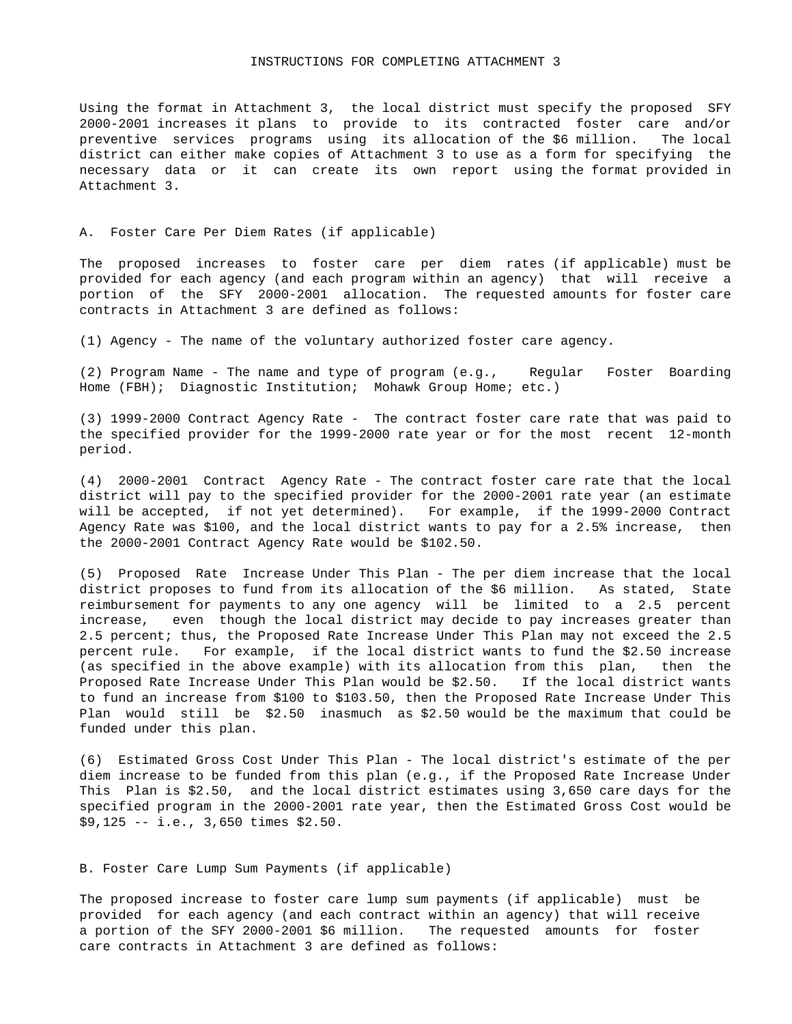Using the format in Attachment 3, the local district must specify the proposed SFY 2000-2001 increases it plans to provide to its contracted foster care and/or preventive services programs using its allocation of the \$6 million. The local district can either make copies of Attachment 3 to use as a form for specifying the necessary data or it can create its own report using the format provided in Attachment 3.

#### A. Foster Care Per Diem Rates (if applicable)

The proposed increases to foster care per diem rates (if applicable) must be provided for each agency (and each program within an agency) that will receive a portion of the SFY 2000-2001 allocation. The requested amounts for foster care contracts in Attachment 3 are defined as follows:

(1) Agency - The name of the voluntary authorized foster care agency.

(2) Program Name - The name and type of program (e.g., Regular Foster Boarding Home (FBH); Diagnostic Institution; Mohawk Group Home; etc.)

(3) 1999-2000 Contract Agency Rate - The contract foster care rate that was paid to the specified provider for the 1999-2000 rate year or for the most recent 12-month period.

(4) 2000-2001 Contract Agency Rate - The contract foster care rate that the local district will pay to the specified provider for the 2000-2001 rate year (an estimate will be accepted, if not yet determined). For example, if the 1999-2000 Contract Agency Rate was \$100, and the local district wants to pay for a 2.5% increase, then the 2000-2001 Contract Agency Rate would be \$102.50.

(5) Proposed Rate Increase Under This Plan - The per diem increase that the local district proposes to fund from its allocation of the \$6 million. As stated, State reimbursement for payments to any one agency will be limited to a 2.5 percent increase, even though the local district may decide to pay increases greater than 2.5 percent; thus, the Proposed Rate Increase Under This Plan may not exceed the 2.5 percent rule. For example, if the local district wants to fund the \$2.50 increase (as specified in the above example) with its allocation from this plan, then the Proposed Rate Increase Under This Plan would be \$2.50. If the local district wants to fund an increase from \$100 to \$103.50, then the Proposed Rate Increase Under This Plan would still be \$2.50 inasmuch as \$2.50 would be the maximum that could be funded under this plan.

(6) Estimated Gross Cost Under This Plan - The local district's estimate of the per diem increase to be funded from this plan (e.g., if the Proposed Rate Increase Under This Plan is \$2.50, and the local district estimates using 3,650 care days for the specified program in the 2000-2001 rate year, then the Estimated Gross Cost would be \$9,125 -- i.e., 3,650 times \$2.50.

#### B. Foster Care Lump Sum Payments (if applicable)

The proposed increase to foster care lump sum payments (if applicable) must be provided for each agency (and each contract within an agency) that will receive a portion of the SFY 2000-2001 \$6 million. The requested amounts for foster care contracts in Attachment 3 are defined as follows: